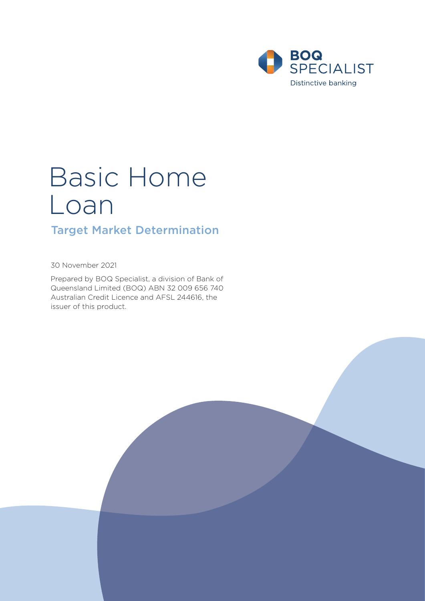

# Basic Home Loan

# Target Market Determination

30 November 2021

Prepared by BOQ Specialist, a division of Bank of Queensland Limited (BOQ) ABN 32 009 656 740 Australian Credit Licence and AFSL 244616, the issuer of this product.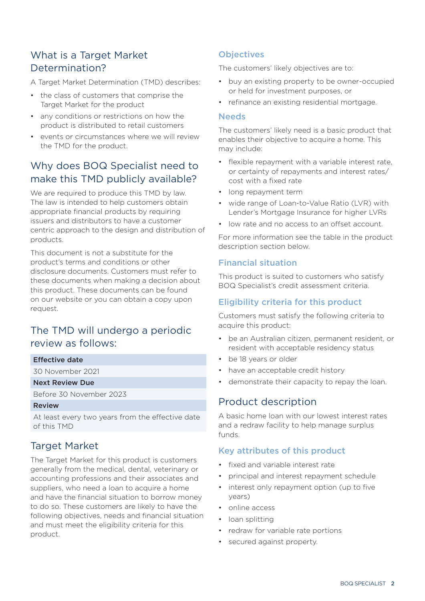# What is a Target Market Determination?

A Target Market Determination (TMD) describes:

- the class of customers that comprise the Target Market for the product
- any conditions or restrictions on how the product is distributed to retail customers
- events or circumstances where we will review the TMD for the product.

# Why does BOQ Specialist need to make this TMD publicly available?

We are required to produce this TMD by law. The law is intended to help customers obtain appropriate financial products by requiring issuers and distributors to have a customer centric approach to the design and distribution of products.

This document is not a substitute for the product's terms and conditions or other disclosure documents. Customers must refer to these documents when making a decision about this product. These documents can be found on our website or you can obtain a copy upon request.

# The TMD will undergo a periodic review as follows:

#### Effective date

30 November 2021

#### Next Review Due

Before 30 November 2023

#### Review

At least every two years from the effective date of this TMD

## Target Market

The Target Market for this product is customers generally from the medical, dental, veterinary or accounting professions and their associates and suppliers, who need a loan to acquire a home and have the financial situation to borrow money to do so. These customers are likely to have the following objectives, needs and financial situation and must meet the eligibility criteria for this product.

## **Objectives**

The customers' likely objectives are to:

- buy an existing property to be owner-occupied or held for investment purposes, or
- refinance an existing residential mortgage.

#### **Needs**

The customers' likely need is a basic product that enables their objective to acquire a home. This may include:

- flexible repayment with a variable interest rate, or certainty of repayments and interest rates/ cost with a fixed rate
- long repayment term
- wide range of Loan-to-Value Ratio (LVR) with Lender's Mortgage Insurance for higher LVRs
- low rate and no access to an offset account.

For more information see the table in the product description section below.

#### Financial situation

This product is suited to customers who satisfy BOQ Specialist's credit assessment criteria.

#### Eligibility criteria for this product

Customers must satisfy the following criteria to acquire this product:

- be an Australian citizen, permanent resident, or resident with acceptable residency status
- be 18 years or older
- have an acceptable credit history
- demonstrate their capacity to repay the loan.

## Product description

A basic home loan with our lowest interest rates and a redraw facility to help manage surplus funds.

#### Key attributes of this product

- fixed and variable interest rate
- principal and interest repayment schedule
- interest only repayment option (up to five years)
- online access
- loan splitting
- redraw for variable rate portions
- secured against property.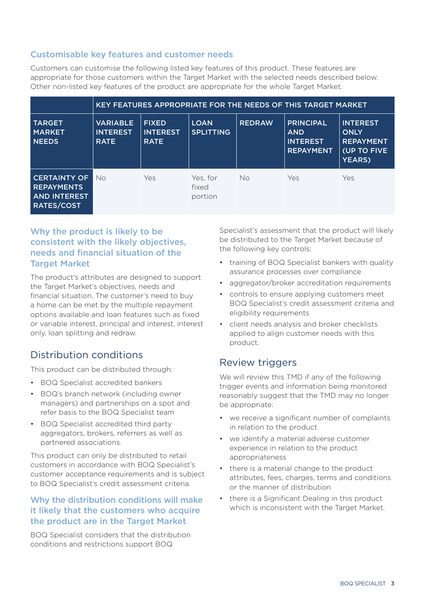## Customisable key features and customer needs

Customers can customise the following listed key features of this product. These features are appropriate for those customers within the Target Market with the selected needs described below. Other non-listed key features of the product are appropriate for the whole Target Market.

|                                                                                      | KEY FEATURES APPROPRIATE FOR THE NEEDS OF THIS TARGET MARKET |                                                |                                 |               |                                                                       |                                                                             |
|--------------------------------------------------------------------------------------|--------------------------------------------------------------|------------------------------------------------|---------------------------------|---------------|-----------------------------------------------------------------------|-----------------------------------------------------------------------------|
| <b>TARGET</b><br><b>MARKET</b><br><b>NEEDS</b>                                       | <b>VARIABLE</b><br><b>INTEREST</b><br><b>RATE</b>            | <b>FIXED</b><br><b>INTEREST</b><br><b>RATE</b> | <b>LOAN</b><br><b>SPLITTING</b> | <b>REDRAW</b> | <b>PRINCIPAL</b><br><b>AND</b><br><b>INTEREST</b><br><b>REPAYMENT</b> | <b>INTEREST</b><br><b>ONLY</b><br><b>REPAYMENT</b><br>(UP TO FIVE<br>YEARS) |
| <b>CERTAINTY OF</b><br><b>REPAYMENTS</b><br><b>AND INTEREST</b><br><b>RATES/COST</b> | No                                                           | Yes                                            | Yes, for<br>fixed<br>portion    | No.           | Yes                                                                   | Yes                                                                         |

## Why the product is likely to be consistent with the likely objectives, needs and financial situation of the **Target Market**

The product's attributes are designed to support the Target Market's objectives, needs and financial situation. The customer's need to buy a home can be met by the multiple repayment options available and loan features such as fixed or variable interest, principal and interest, interest only, loan splitting and redraw.

# Distribution conditions

This product can be distributed through:

- BOQ Specialist accredited bankers
- BOQ's branch network (including owner managers) and partnerships on a spot and refer basis to the BOQ Specialist team
- BOQ Specialist accredited third party aggregators, brokers, referrers as well as partnered associations.

This product can only be distributed to retail customers in accordance with BOQ Specialist's customer acceptance requirements and is subject to BOQ Specialist's credit assessment criteria.

## Why the distribution conditions will make it likely that the customers who acquire the product are in the Target Market

BOQ Specialist considers that the distribution conditions and restrictions support BOQ

Specialist's assessment that the product will likely be distributed to the Target Market because of the following key controls:

- training of BOQ Specialist bankers with quality assurance processes over compliance
- aggregator/broker accreditation requirements
- controls to ensure applying customers meet BOQ Specialist's credit assessment criteria and eligibility requirements
- client needs analysis and broker checklists applied to align customer needs with this product.

## Review triggers

We will review this TMD if any of the following trigger events and information being monitored reasonably suggest that the TMD may no longer be appropriate:

- we receive a significant number of complaints in relation to the product
- we identify a material adverse customer experience in relation to the product appropriateness
- there is a material change to the product attributes, fees, charges, terms and conditions or the manner of distribution
- there is a Significant Dealing in this product which is inconsistent with the Target Market.